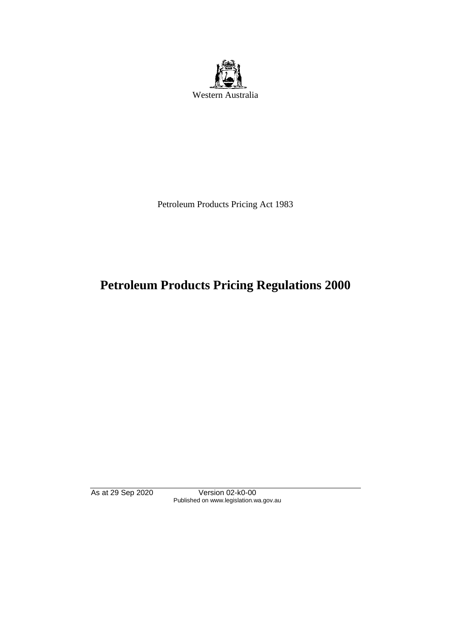

Petroleum Products Pricing Act 1983

# **Petroleum Products Pricing Regulations 2000**

As at 29 Sep 2020 Version 02-k0-00 Published on www.legislation.wa.gov.au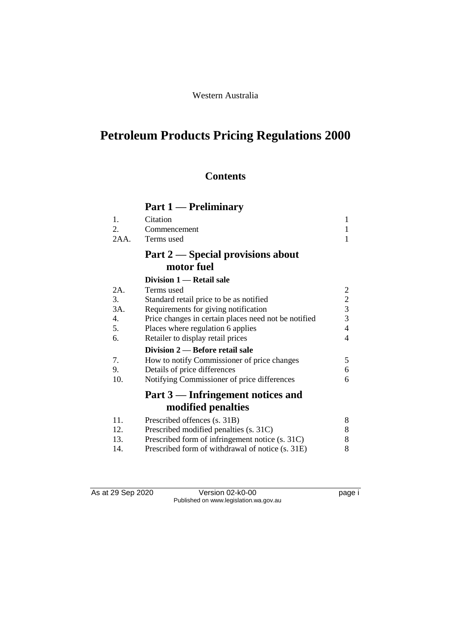# **Petroleum Products Pricing Regulations 2000**

## **Contents**

# **Part 1 — Preliminary**

| 1.<br>2. | Citation                                             | $\mathbf{1}$<br>1 |
|----------|------------------------------------------------------|-------------------|
| 2AA.     | Commencement<br>Terms used                           | 1                 |
|          | Part 2 — Special provisions about                    |                   |
|          | motor fuel                                           |                   |
|          | Division 1 — Retail sale                             |                   |
| 2A.      | Terms used                                           | 2                 |
| 3.       | Standard retail price to be as notified              | $\overline{2}$    |
| 3A.      | Requirements for giving notification                 | $\overline{3}$    |
| 4.       | Price changes in certain places need not be notified | 3                 |
| 5.       | Places where regulation 6 applies                    | $\overline{4}$    |
| 6.       | Retailer to display retail prices                    | $\overline{4}$    |
|          | Division 2 — Before retail sale                      |                   |
| 7.       | How to notify Commissioner of price changes          | 5                 |
| 9.       | Details of price differences                         | 6                 |
| 10.      | Notifying Commissioner of price differences          | 6                 |
|          | Part 3 — Infringement notices and                    |                   |
|          | modified penalties                                   |                   |
| 11.      | Prescribed offences (s. 31B)                         | 8                 |
| 12.      | Prescribed modified penalties (s. 31C)               | 8                 |
| 13.      | Prescribed form of infringement notice (s. 31C)      | 8                 |
| 14.      | Prescribed form of withdrawal of notice (s. 31E)     | 8                 |

As at 29 Sep 2020 Version 02-k0-00 Page i Published on www.legislation.wa.gov.au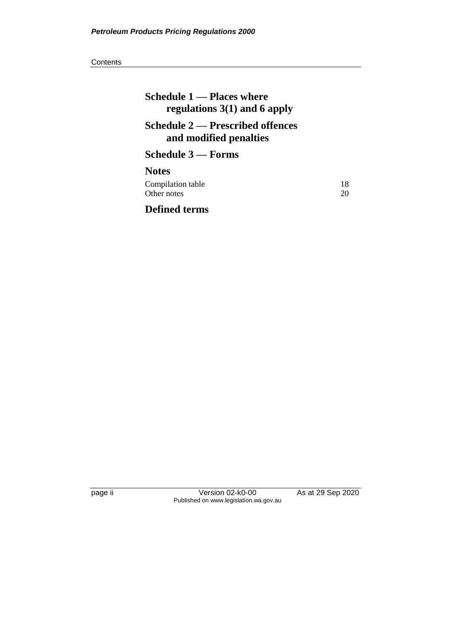| Schedule 1 - Places where<br>regulations $3(1)$ and 6 apply       |          |
|-------------------------------------------------------------------|----------|
| <b>Schedule 2 — Prescribed offences</b><br>and modified penalties |          |
| Schedule 3 — Forms                                                |          |
| <b>Notes</b>                                                      |          |
| Compilation table<br>Other notes                                  | 18<br>20 |
| <b>Defined terms</b>                                              |          |

page ii Version 02-k0-00 As at 29 Sep 2020 Published on www.legislation.wa.gov.au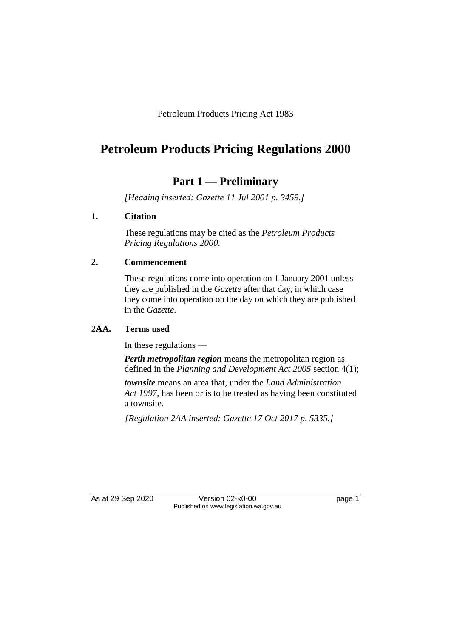Petroleum Products Pricing Act 1983

# **Petroleum Products Pricing Regulations 2000**

## **Part 1 — Preliminary**

*[Heading inserted: Gazette 11 Jul 2001 p. 3459.]*

### **1. Citation**

These regulations may be cited as the *Petroleum Products Pricing Regulations 2000*.

### **2. Commencement**

These regulations come into operation on 1 January 2001 unless they are published in the *Gazette* after that day, in which case they come into operation on the day on which they are published in the *Gazette*.

### **2AA. Terms used**

In these regulations —

*Perth metropolitan region* means the metropolitan region as defined in the *Planning and Development Act 2005* section 4(1);

*townsite* means an area that, under the *Land Administration Act 1997*, has been or is to be treated as having been constituted a townsite.

*[Regulation 2AA inserted: Gazette 17 Oct 2017 p. 5335.]*

As at 29 Sep 2020 Version 02-k0-00 page 1 Published on www.legislation.wa.gov.au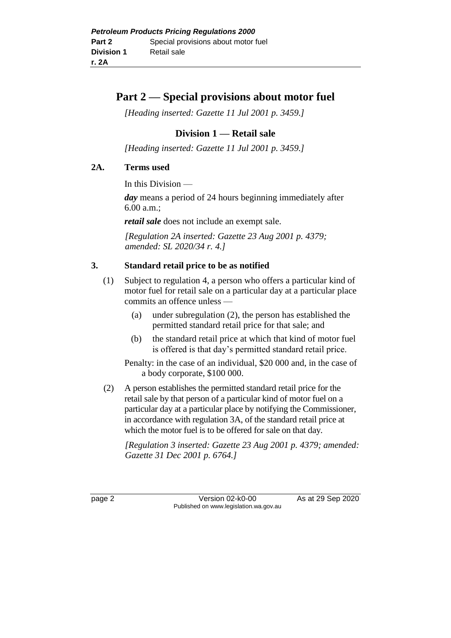### **Part 2 — Special provisions about motor fuel**

*[Heading inserted: Gazette 11 Jul 2001 p. 3459.]*

### **Division 1 — Retail sale**

*[Heading inserted: Gazette 11 Jul 2001 p. 3459.]*

### **2A. Terms used**

In this Division —

*day* means a period of 24 hours beginning immediately after 6.00 a.m.;

*retail sale* does not include an exempt sale.

*[Regulation 2A inserted: Gazette 23 Aug 2001 p. 4379; amended: SL 2020/34 r. 4.]*

### **3. Standard retail price to be as notified**

- (1) Subject to regulation 4, a person who offers a particular kind of motor fuel for retail sale on a particular day at a particular place commits an offence unless —
	- (a) under subregulation (2), the person has established the permitted standard retail price for that sale; and
	- (b) the standard retail price at which that kind of motor fuel is offered is that day's permitted standard retail price.

Penalty: in the case of an individual, \$20 000 and, in the case of a body corporate, \$100 000.

(2) A person establishes the permitted standard retail price for the retail sale by that person of a particular kind of motor fuel on a particular day at a particular place by notifying the Commissioner, in accordance with regulation 3A, of the standard retail price at which the motor fuel is to be offered for sale on that day.

*[Regulation 3 inserted: Gazette 23 Aug 2001 p. 4379; amended: Gazette 31 Dec 2001 p. 6764.]*

page 2 Version 02-k0-00 As at 29 Sep 2020 Published on www.legislation.wa.gov.au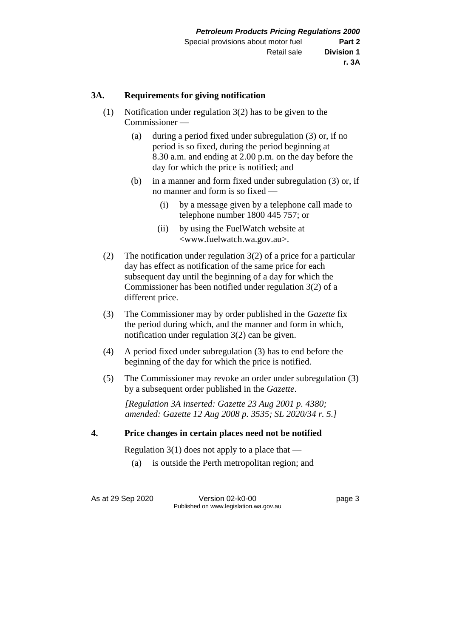### **3A. Requirements for giving notification**

- (1) Notification under regulation 3(2) has to be given to the Commissioner —
	- (a) during a period fixed under subregulation (3) or, if no period is so fixed, during the period beginning at 8.30 a.m. and ending at 2.00 p.m. on the day before the day for which the price is notified; and
	- (b) in a manner and form fixed under subregulation (3) or, if no manner and form is so fixed —
		- (i) by a message given by a telephone call made to telephone number 1800 445 757; or
		- (ii) by using the FuelWatch website at <www.fuelwatch.wa.gov.au>.
- (2) The notification under regulation 3(2) of a price for a particular day has effect as notification of the same price for each subsequent day until the beginning of a day for which the Commissioner has been notified under regulation 3(2) of a different price.
- (3) The Commissioner may by order published in the *Gazette* fix the period during which, and the manner and form in which, notification under regulation 3(2) can be given.
- (4) A period fixed under subregulation (3) has to end before the beginning of the day for which the price is notified.
- (5) The Commissioner may revoke an order under subregulation (3) by a subsequent order published in the *Gazette*.

*[Regulation 3A inserted: Gazette 23 Aug 2001 p. 4380; amended: Gazette 12 Aug 2008 p. 3535; SL 2020/34 r. 5.]*

### **4. Price changes in certain places need not be notified**

Regulation 3(1) does not apply to a place that —

(a) is outside the Perth metropolitan region; and

As at 29 Sep 2020 Version 02-k0-00 page 3 Published on www.legislation.wa.gov.au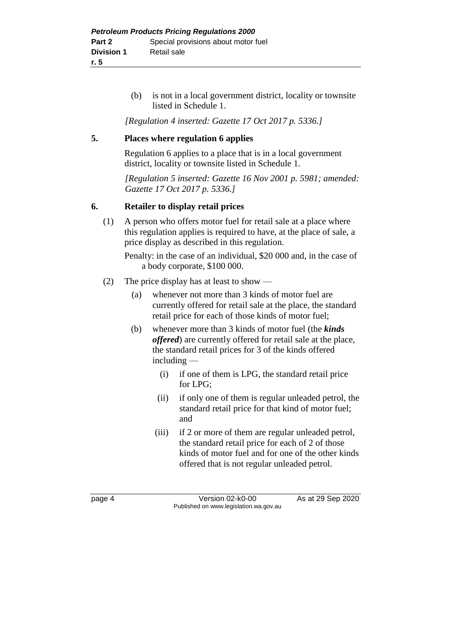(b) is not in a local government district, locality or townsite listed in Schedule 1.

*[Regulation 4 inserted: Gazette 17 Oct 2017 p. 5336.]*

### **5. Places where regulation 6 applies**

Regulation 6 applies to a place that is in a local government district, locality or townsite listed in Schedule 1.

*[Regulation 5 inserted: Gazette 16 Nov 2001 p. 5981; amended: Gazette 17 Oct 2017 p. 5336.]*

### **6. Retailer to display retail prices**

(1) A person who offers motor fuel for retail sale at a place where this regulation applies is required to have, at the place of sale, a price display as described in this regulation.

Penalty: in the case of an individual, \$20 000 and, in the case of a body corporate, \$100 000.

- (2) The price display has at least to show
	- (a) whenever not more than 3 kinds of motor fuel are currently offered for retail sale at the place, the standard retail price for each of those kinds of motor fuel;
	- (b) whenever more than 3 kinds of motor fuel (the *kinds offered*) are currently offered for retail sale at the place, the standard retail prices for 3 of the kinds offered including —
		- (i) if one of them is LPG, the standard retail price for LPG;
		- (ii) if only one of them is regular unleaded petrol, the standard retail price for that kind of motor fuel; and
		- (iii) if 2 or more of them are regular unleaded petrol, the standard retail price for each of 2 of those kinds of motor fuel and for one of the other kinds offered that is not regular unleaded petrol.

page 4 Version 02-k0-00 As at 29 Sep 2020 Published on www.legislation.wa.gov.au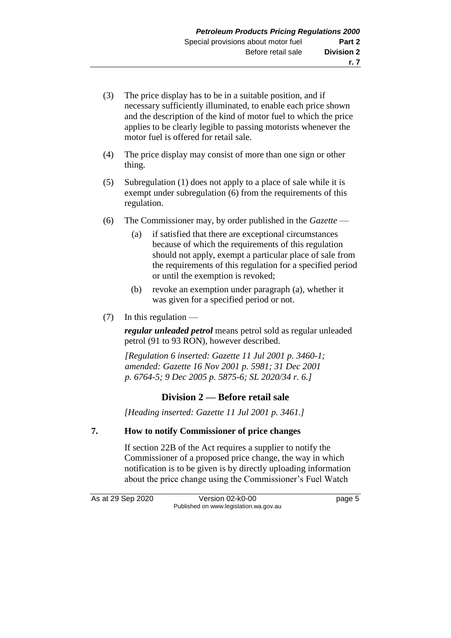- (3) The price display has to be in a suitable position, and if necessary sufficiently illuminated, to enable each price shown and the description of the kind of motor fuel to which the price applies to be clearly legible to passing motorists whenever the motor fuel is offered for retail sale.
- (4) The price display may consist of more than one sign or other thing.
- (5) Subregulation (1) does not apply to a place of sale while it is exempt under subregulation (6) from the requirements of this regulation.
- (6) The Commissioner may, by order published in the *Gazette*
	- (a) if satisfied that there are exceptional circumstances because of which the requirements of this regulation should not apply, exempt a particular place of sale from the requirements of this regulation for a specified period or until the exemption is revoked;
	- (b) revoke an exemption under paragraph (a), whether it was given for a specified period or not.
- (7) In this regulation —

*regular unleaded petrol* means petrol sold as regular unleaded petrol (91 to 93 RON), however described.

*[Regulation 6 inserted: Gazette 11 Jul 2001 p. 3460-1; amended: Gazette 16 Nov 2001 p. 5981; 31 Dec 2001 p. 6764-5; 9 Dec 2005 p. 5875-6; SL 2020/34 r. 6.]*

### **Division 2 — Before retail sale**

*[Heading inserted: Gazette 11 Jul 2001 p. 3461.]*

### **7. How to notify Commissioner of price changes**

If section 22B of the Act requires a supplier to notify the Commissioner of a proposed price change, the way in which notification is to be given is by directly uploading information about the price change using the Commissioner's Fuel Watch

As at 29 Sep 2020 Version 02-k0-00 page 5 Published on www.legislation.wa.gov.au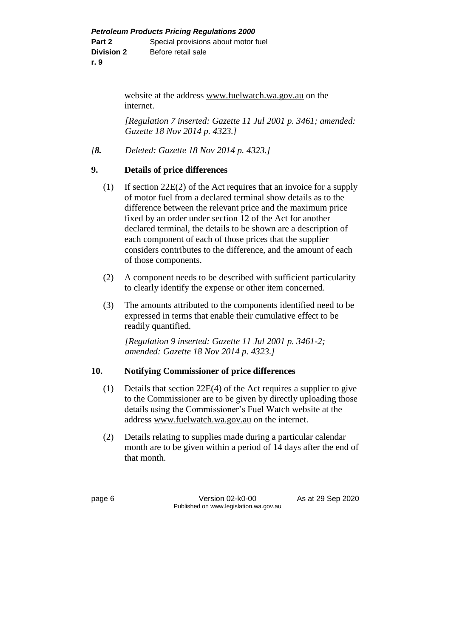website at the address www.fuelwatch.wa.gov.au on the internet.

*[Regulation 7 inserted: Gazette 11 Jul 2001 p. 3461; amended: Gazette 18 Nov 2014 p. 4323.]*

*[8. Deleted: Gazette 18 Nov 2014 p. 4323.]*

### **9. Details of price differences**

- (1) If section 22E(2) of the Act requires that an invoice for a supply of motor fuel from a declared terminal show details as to the difference between the relevant price and the maximum price fixed by an order under section 12 of the Act for another declared terminal, the details to be shown are a description of each component of each of those prices that the supplier considers contributes to the difference, and the amount of each of those components.
- (2) A component needs to be described with sufficient particularity to clearly identify the expense or other item concerned.
- (3) The amounts attributed to the components identified need to be expressed in terms that enable their cumulative effect to be readily quantified.

*[Regulation 9 inserted: Gazette 11 Jul 2001 p. 3461-2; amended: Gazette 18 Nov 2014 p. 4323.]*

### **10. Notifying Commissioner of price differences**

- (1) Details that section 22E(4) of the Act requires a supplier to give to the Commissioner are to be given by directly uploading those details using the Commissioner's Fuel Watch website at the address [www.fuelwatch.wa.gov.au](http://www.fuelwatch.wa.gov.au/) on the internet.
- (2) Details relating to supplies made during a particular calendar month are to be given within a period of 14 days after the end of that month.

page 6 Version 02-k0-00 As at 29 Sep 2020 Published on www.legislation.wa.gov.au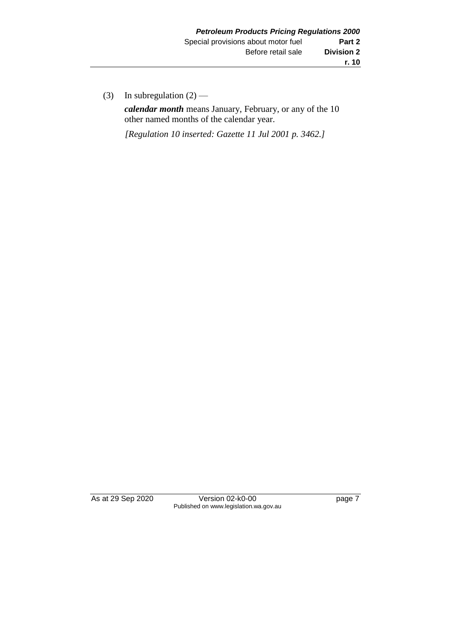(3) In subregulation  $(2)$  —

*calendar month* means January, February, or any of the 10 other named months of the calendar year.

*[Regulation 10 inserted: Gazette 11 Jul 2001 p. 3462.]*

As at 29 Sep 2020 Version 02-k0-00 page 7 Published on www.legislation.wa.gov.au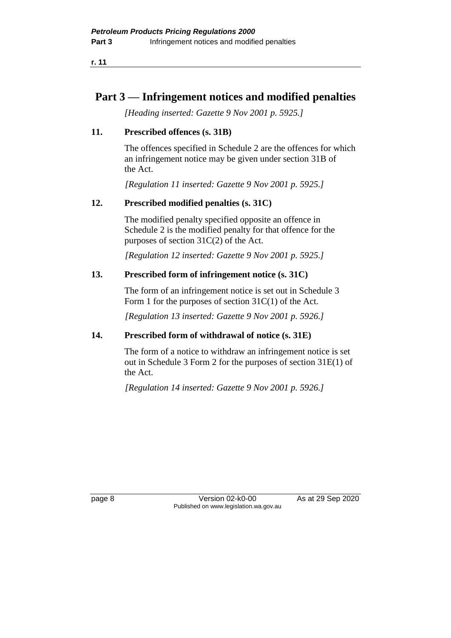**r. 11**

## **Part 3 — Infringement notices and modified penalties**

*[Heading inserted: Gazette 9 Nov 2001 p. 5925.]*

### **11. Prescribed offences (s. 31B)**

The offences specified in Schedule 2 are the offences for which an infringement notice may be given under section 31B of the Act.

*[Regulation 11 inserted: Gazette 9 Nov 2001 p. 5925.]*

### **12. Prescribed modified penalties (s. 31C)**

The modified penalty specified opposite an offence in Schedule 2 is the modified penalty for that offence for the purposes of section 31C(2) of the Act.

*[Regulation 12 inserted: Gazette 9 Nov 2001 p. 5925.]*

### **13. Prescribed form of infringement notice (s. 31C)**

The form of an infringement notice is set out in Schedule 3 Form 1 for the purposes of section 31C(1) of the Act.

*[Regulation 13 inserted: Gazette 9 Nov 2001 p. 5926.]*

### **14. Prescribed form of withdrawal of notice (s. 31E)**

The form of a notice to withdraw an infringement notice is set out in Schedule 3 Form 2 for the purposes of section 31E(1) of the Act.

*[Regulation 14 inserted: Gazette 9 Nov 2001 p. 5926.]*

page 8 Version 02-k0-00 As at 29 Sep 2020 Published on www.legislation.wa.gov.au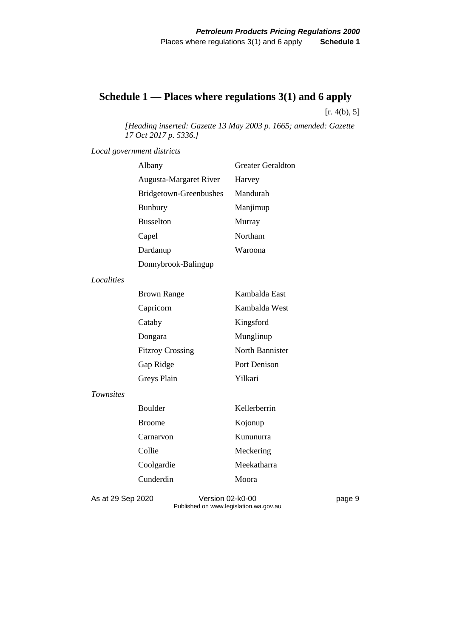## **Schedule 1 — Places where regulations 3(1) and 6 apply**

 $[r. 4(b), 5]$ 

*[Heading inserted: Gazette 13 May 2003 p. 1665; amended: Gazette 17 Oct 2017 p. 5336.]*

*Local government districts*

|                  | Albany                  | <b>Greater Geraldton</b> |
|------------------|-------------------------|--------------------------|
|                  | Augusta-Margaret River  | Harvey                   |
|                  | Bridgetown-Greenbushes  | Mandurah                 |
|                  | <b>Bunbury</b>          | Manjimup                 |
|                  | <b>Busselton</b>        | Murray                   |
|                  | Capel                   | Northam                  |
|                  | Dardanup                | Waroona                  |
|                  | Donnybrook-Balingup     |                          |
| Localities       |                         |                          |
|                  | <b>Brown Range</b>      | Kambalda East            |
|                  | Capricorn               | Kambalda West            |
|                  | Cataby                  | Kingsford                |
|                  | Dongara                 | Munglinup                |
|                  | <b>Fitzroy Crossing</b> | North Bannister          |
|                  | Gap Ridge               | Port Denison             |
|                  | Greys Plain             | Yilkari                  |
| <b>Townsites</b> |                         |                          |
|                  | Boulder                 | Kellerberrin             |
|                  | <b>Broome</b>           | Kojonup                  |
|                  | Carnarvon               | Kununurra                |
|                  | Collie                  | Meckering                |
|                  | Coolgardie              | Meekatharra              |
|                  | Cunderdin               | Moora                    |
|                  |                         |                          |

As at 29 Sep 2020 Version 02-k0-00 page 9 Published on www.legislation.wa.gov.au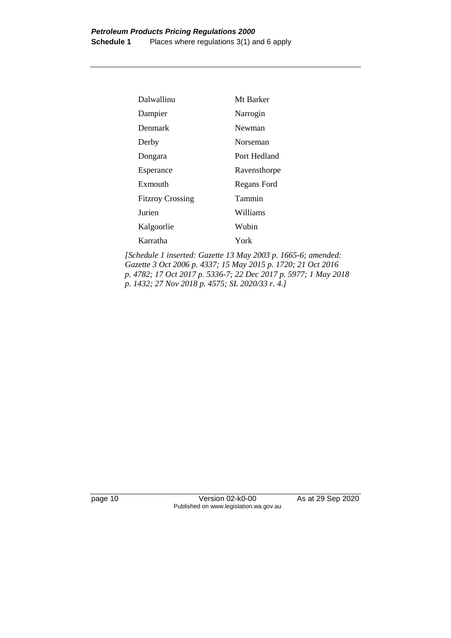| Dalwallinu              | Mt Barker    |
|-------------------------|--------------|
| Dampier                 | Narrogin     |
| Denmark                 | Newman       |
| Derby                   | Norseman     |
| Dongara                 | Port Hedland |
| Esperance               | Ravensthorpe |
| Exmouth                 | Regans Ford  |
| <b>Fitzroy Crossing</b> | Tammin       |
| Jurien                  | Williams     |
| Kalgoorlie              | Wubin        |
| Karratha                | York         |

*[Schedule 1 inserted: Gazette 13 May 2003 p. 1665-6; amended: Gazette 3 Oct 2006 p. 4337; 15 May 2015 p. 1720; 21 Oct 2016 p. 4782; 17 Oct 2017 p. 5336-7; 22 Dec 2017 p. 5977; 1 May 2018 p. 1432; 27 Nov 2018 p. 4575; SL 2020/33 r. 4.]*

page 10 Version 02-k0-00 As at 29 Sep 2020 Published on www.legislation.wa.gov.au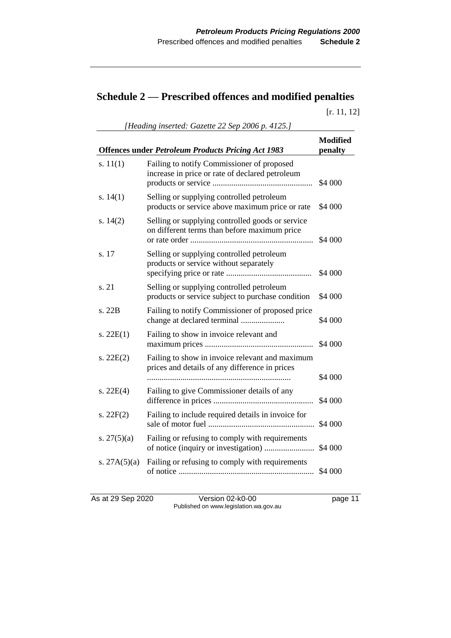# **Schedule 2 — Prescribed offences and modified penalties**

[r. 11, 12]

|                | <b>Offences under Petroleum Products Pricing Act 1983</b>                                         | <b>Modified</b><br>penalty |
|----------------|---------------------------------------------------------------------------------------------------|----------------------------|
| s. $11(1)$     | Failing to notify Commissioner of proposed<br>increase in price or rate of declared petroleum     | \$4 000                    |
| s. $14(1)$     | Selling or supplying controlled petroleum<br>products or service above maximum price or rate      | \$4 000                    |
| s. $14(2)$     | Selling or supplying controlled goods or service<br>on different terms than before maximum price  | \$4 000                    |
| s. 17          | Selling or supplying controlled petroleum<br>products or service without separately               | \$4 000                    |
| s. 21          | Selling or supplying controlled petroleum<br>products or service subject to purchase condition    | \$4 000                    |
| s. 22B         | Failing to notify Commissioner of proposed price<br>change at declared terminal                   | \$4 000                    |
| s. $22E(1)$    | Failing to show in invoice relevant and                                                           | \$4 000                    |
| s. $22E(2)$    | Failing to show in invoice relevant and maximum<br>prices and details of any difference in prices |                            |
|                |                                                                                                   | \$4 000                    |
| s. $22E(4)$    | Failing to give Commissioner details of any                                                       | \$4 000                    |
| s. $22F(2)$    | Failing to include required details in invoice for                                                | \$4 000                    |
| s. $27(5)(a)$  | Failing or refusing to comply with requirements                                                   | \$4 000                    |
| s. $27A(5)(a)$ | Failing or refusing to comply with requirements                                                   | \$4 000                    |

As at 29 Sep 2020 Version 02-k0-00 page 11 Published on www.legislation.wa.gov.au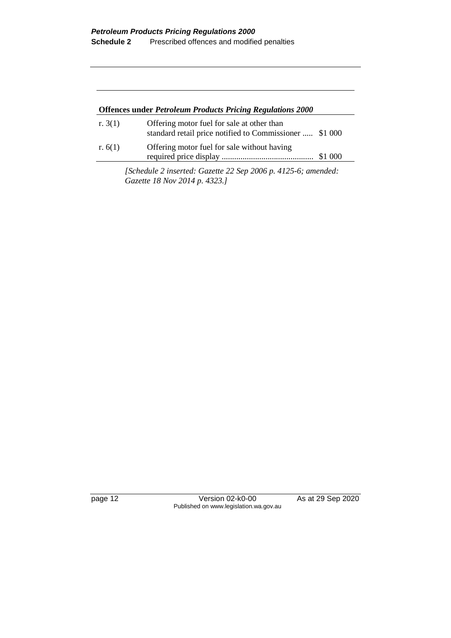| <b>Offences under Petroleum Products Pricing Regulations 2000</b> |                                                                                                                    |         |  |
|-------------------------------------------------------------------|--------------------------------------------------------------------------------------------------------------------|---------|--|
| r. $3(1)$                                                         | Offering motor fuel for sale at other than<br>standard retail price notified to Commissioner  \$1 000              |         |  |
| r. $6(1)$                                                         | Offering motor fuel for sale without having                                                                        | \$1 000 |  |
|                                                                   | $\zeta_{\text{obs}}$ dule 2 inserted: $\zeta_{\text{scatt}}$ 22 $\zeta_{\text{em}}$ 2006 n $\zeta$ 125 6; amended: |         |  |

*[Schedule 2 inserted: Gazette 22 Sep 2006 p. 4125-6; amended: Gazette 18 Nov 2014 p. 4323.]*

page 12 Version 02-k0-00 As at 29 Sep 2020 Published on www.legislation.wa.gov.au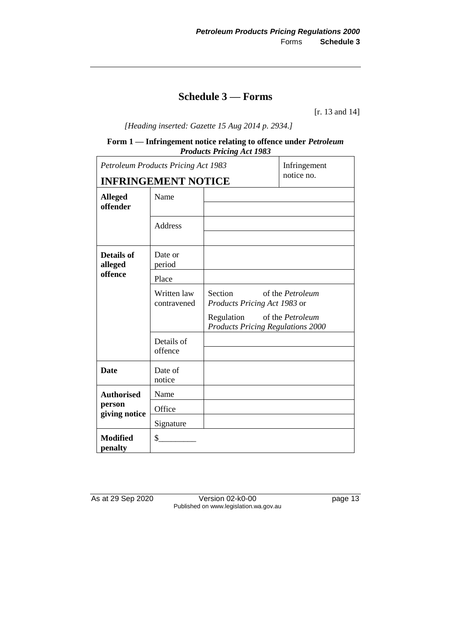## **Schedule 3 — Forms**

[r. 13 and 14]

*[Heading inserted: Gazette 15 Aug 2014 p. 2934.]*

#### **Form 1 — Infringement notice relating to offence under** *Petroleum Products Pricing Act 1983*

|                                  | <b>Petroleum Products Pricing Act 1983</b> |                                                                    | Infringement     |
|----------------------------------|--------------------------------------------|--------------------------------------------------------------------|------------------|
|                                  | <b>INFRINGEMENT NOTICE</b>                 |                                                                    | notice no.       |
| <b>Alleged</b><br>offender       | Name                                       |                                                                    |                  |
|                                  | Address                                    |                                                                    |                  |
| Details of<br>alleged<br>offence | Date or<br>period                          |                                                                    |                  |
|                                  | Place                                      |                                                                    |                  |
|                                  | Written law<br>contravened                 | Section<br>of the <i>Petroleum</i><br>Products Pricing Act 1983 or |                  |
|                                  |                                            | Regulation<br><b>Products Pricing Regulations 2000</b>             | of the Petroleum |
|                                  | Details of<br>offence                      |                                                                    |                  |
| <b>Date</b>                      | Date of<br>notice                          |                                                                    |                  |
| <b>Authorised</b>                | Name                                       |                                                                    |                  |
| person<br>giving notice          | Office                                     |                                                                    |                  |
|                                  | Signature                                  |                                                                    |                  |
| <b>Modified</b><br>penalty       | \$                                         |                                                                    |                  |

As at 29 Sep 2020 Version 02-k0-00 page 13 Published on www.legislation.wa.gov.au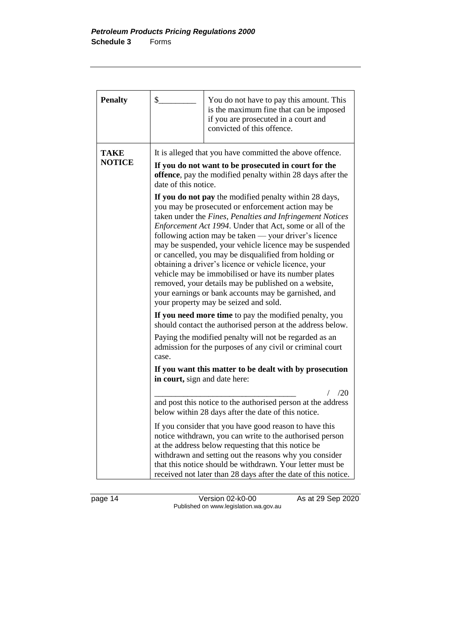| <b>Penalty</b>               | \$                                                                                                                                                                                                                                                                                                                                                                                                                                                                                                                                                                                                                                                                                           | You do not have to pay this amount. This<br>is the maximum fine that can be imposed<br>if you are prosecuted in a court and<br>convicted of this offence.                                                                                                                                                                                                          |  |  |
|------------------------------|----------------------------------------------------------------------------------------------------------------------------------------------------------------------------------------------------------------------------------------------------------------------------------------------------------------------------------------------------------------------------------------------------------------------------------------------------------------------------------------------------------------------------------------------------------------------------------------------------------------------------------------------------------------------------------------------|--------------------------------------------------------------------------------------------------------------------------------------------------------------------------------------------------------------------------------------------------------------------------------------------------------------------------------------------------------------------|--|--|
| <b>TAKE</b><br><b>NOTICE</b> | It is alleged that you have committed the above offence.<br>If you do not want to be prosecuted in court for the<br>offence, pay the modified penalty within 28 days after the<br>date of this notice.                                                                                                                                                                                                                                                                                                                                                                                                                                                                                       |                                                                                                                                                                                                                                                                                                                                                                    |  |  |
|                              | If you do not pay the modified penalty within 28 days,<br>you may be prosecuted or enforcement action may be<br>taken under the Fines, Penalties and Infringement Notices<br>Enforcement Act 1994. Under that Act, some or all of the<br>following action may be taken — your driver's licence<br>may be suspended, your vehicle licence may be suspended<br>or cancelled, you may be disqualified from holding or<br>obtaining a driver's licence or vehicle licence, your<br>vehicle may be immobilised or have its number plates<br>removed, your details may be published on a website,<br>your earnings or bank accounts may be garnished, and<br>your property may be seized and sold. |                                                                                                                                                                                                                                                                                                                                                                    |  |  |
|                              | If you need more time to pay the modified penalty, you<br>should contact the authorised person at the address below.                                                                                                                                                                                                                                                                                                                                                                                                                                                                                                                                                                         |                                                                                                                                                                                                                                                                                                                                                                    |  |  |
|                              | Paying the modified penalty will not be regarded as an<br>admission for the purposes of any civil or criminal court<br>case.                                                                                                                                                                                                                                                                                                                                                                                                                                                                                                                                                                 |                                                                                                                                                                                                                                                                                                                                                                    |  |  |
|                              | If you want this matter to be dealt with by prosecution<br>in court, sign and date here:                                                                                                                                                                                                                                                                                                                                                                                                                                                                                                                                                                                                     |                                                                                                                                                                                                                                                                                                                                                                    |  |  |
|                              | /20<br>and post this notice to the authorised person at the address<br>below within 28 days after the date of this notice.                                                                                                                                                                                                                                                                                                                                                                                                                                                                                                                                                                   |                                                                                                                                                                                                                                                                                                                                                                    |  |  |
|                              |                                                                                                                                                                                                                                                                                                                                                                                                                                                                                                                                                                                                                                                                                              | If you consider that you have good reason to have this<br>notice withdrawn, you can write to the authorised person<br>at the address below requesting that this notice be<br>withdrawn and setting out the reasons why you consider<br>that this notice should be withdrawn. Your letter must be<br>received not later than 28 days after the date of this notice. |  |  |

page 14 Version 02-k0-00 As at 29 Sep 2020 Published on www.legislation.wa.gov.au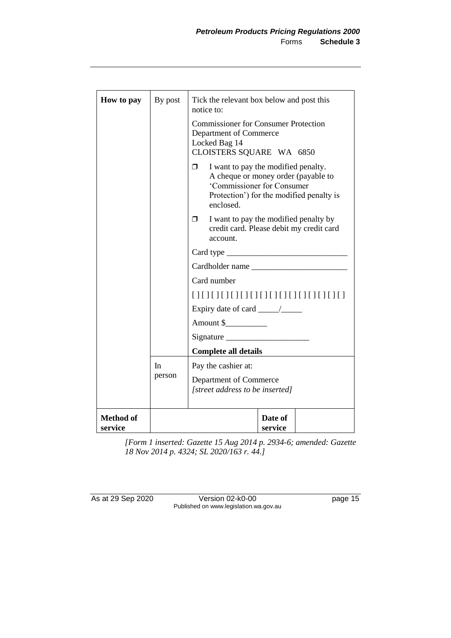| How to pay                  | By post | Tick the relevant box below and post this<br>notice to:                                                                                                                 |  |  |
|-----------------------------|---------|-------------------------------------------------------------------------------------------------------------------------------------------------------------------------|--|--|
|                             |         | <b>Commissioner for Consumer Protection</b><br>Department of Commerce<br>Locked Bag 14<br>CLOISTERS SQUARE WA 6850                                                      |  |  |
|                             |         | I want to pay the modified penalty.<br>Π.<br>A cheque or money order (payable to<br>'Commissioner for Consumer<br>Protection') for the modified penalty is<br>enclosed. |  |  |
|                             |         | I want to pay the modified penalty by<br>σ.<br>credit card. Please debit my credit card<br>account.                                                                     |  |  |
|                             |         | Card type                                                                                                                                                               |  |  |
|                             |         | Cardholder name                                                                                                                                                         |  |  |
|                             |         | Card number                                                                                                                                                             |  |  |
|                             |         |                                                                                                                                                                         |  |  |
|                             |         |                                                                                                                                                                         |  |  |
|                             |         | Amount \$                                                                                                                                                               |  |  |
|                             |         |                                                                                                                                                                         |  |  |
|                             |         | <b>Complete all details</b>                                                                                                                                             |  |  |
|                             | In.     | Pay the cashier at:<br>Department of Commerce<br>[street address to be inserted]                                                                                        |  |  |
|                             | person  |                                                                                                                                                                         |  |  |
| <b>Method of</b><br>service |         | Date of<br>service                                                                                                                                                      |  |  |

*[Form 1 inserted: Gazette 15 Aug 2014 p. 2934-6; amended: Gazette 18 Nov 2014 p. 4324; SL 2020/163 r. 44.]*

As at 29 Sep 2020 Version 02-k0-00 page 15 Published on www.legislation.wa.gov.au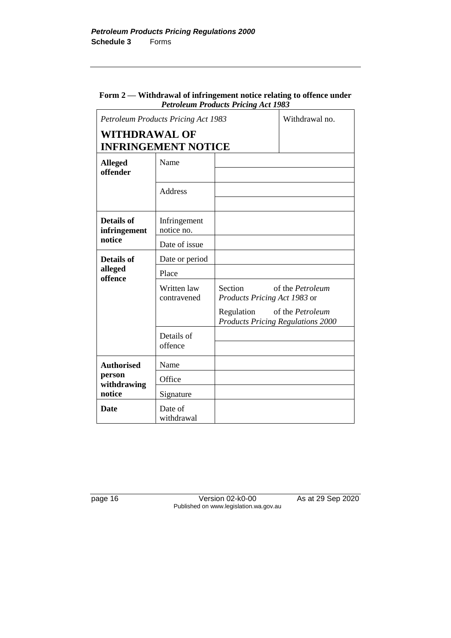#### **Form 2 — Withdrawal of infringement notice relating to offence under**  *Petroleum Products Pricing Act 1983*

|                                   | <b>Petroleum Products Pricing Act 1983</b> |                                                                                | Withdrawal no.          |
|-----------------------------------|--------------------------------------------|--------------------------------------------------------------------------------|-------------------------|
| <b>WITHDRAWAL OF</b>              | <b>INFRINGEMENT NOTICE</b>                 |                                                                                |                         |
| <b>Alleged</b><br>offender        | Name                                       |                                                                                |                         |
|                                   | Address                                    |                                                                                |                         |
| <b>Details of</b><br>infringement | Infringement<br>notice no.                 |                                                                                |                         |
| notice                            | Date of issue                              |                                                                                |                         |
| <b>Details of</b>                 | Date or period                             |                                                                                |                         |
| alleged<br>offence                | Place                                      |                                                                                |                         |
|                                   | Written law<br>contravened                 | Section<br>Products Pricing Act 1983 or                                        | of the <i>Petroleum</i> |
|                                   |                                            | Regulation of the <i>Petroleum</i><br><b>Products Pricing Regulations 2000</b> |                         |
|                                   | Details of<br>offence                      |                                                                                |                         |
| <b>Authorised</b>                 | Name                                       |                                                                                |                         |
| person<br>withdrawing             | Office                                     |                                                                                |                         |
| notice                            | Signature                                  |                                                                                |                         |
| <b>Date</b>                       | Date of<br>withdrawal                      |                                                                                |                         |

page 16 Version 02-k0-00 As at 29 Sep 2020 Published on www.legislation.wa.gov.au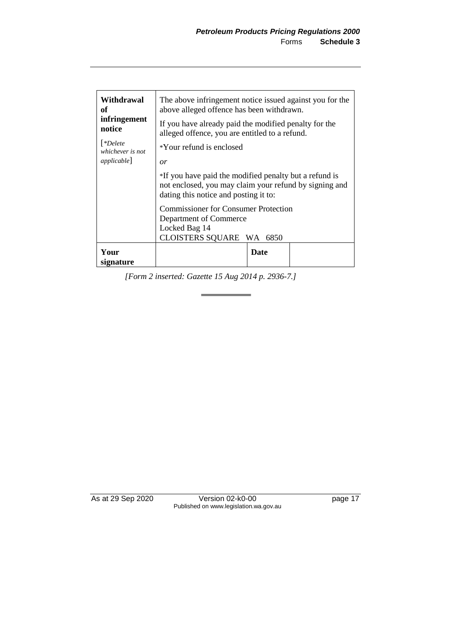| Withdrawal<br>оf<br>infringement<br>notice<br>  *Delete<br>whichever is not<br>applicable] | The above infringement notice issued against you for the<br>above alleged offence has been withdrawn.<br>If you have already paid the modified penalty for the<br>alleged offence, you are entitled to a refund.<br>*Your refund is enclosed<br>or<br>*If you have paid the modified penalty but a refund is<br>not enclosed, you may claim your refund by signing and<br>dating this notice and posting it to: |  |  |
|--------------------------------------------------------------------------------------------|-----------------------------------------------------------------------------------------------------------------------------------------------------------------------------------------------------------------------------------------------------------------------------------------------------------------------------------------------------------------------------------------------------------------|--|--|
| Your<br>signature                                                                          | <b>Commissioner for Consumer Protection</b><br>Department of Commerce<br>Locked Bag 14<br>CLOISTERS SQUARE WA 6850<br><b>Date</b>                                                                                                                                                                                                                                                                               |  |  |

*[Form 2 inserted: Gazette 15 Aug 2014 p. 2936-7.]*

As at 29 Sep 2020 Version 02-k0-00 page 17 Published on www.legislation.wa.gov.au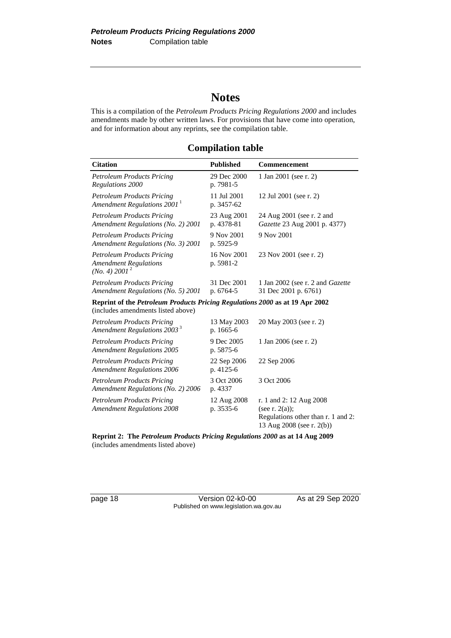## **Notes**

This is a compilation of the *Petroleum Products Pricing Regulations 2000* and includes amendments made by other written laws. For provisions that have come into operation, and for information about any reprints, see the compilation table.

### **Compilation table**

| <b>Citation</b>                                                                                | <b>Published</b>          | Commencement                                                    |
|------------------------------------------------------------------------------------------------|---------------------------|-----------------------------------------------------------------|
| <b>Petroleum Products Pricing</b><br>Regulations 2000                                          | 29 Dec 2000<br>p. 7981-5  | 1 Jan 2001 (see r. 2)                                           |
| <b>Petroleum Products Pricing</b><br>Amendment Regulations $20011$                             | 11 Jul 2001<br>p. 3457-62 | 12 Jul 2001 (see r. 2)                                          |
| Petroleum Products Pricing<br>Amendment Regulations (No. 2) 2001                               | 23 Aug 2001<br>p. 4378-81 | 24 Aug 2001 (see r. 2 and<br>Gazette 23 Aug 2001 p. 4377)       |
| <b>Petroleum Products Pricing</b><br>Amendment Regulations (No. 3) 2001                        | 9 Nov 2001<br>p. 5925-9   | 9 Nov 2001                                                      |
| <b>Petroleum Products Pricing</b><br><b>Amendment Regulations</b><br>(No. 4) 2001 <sup>2</sup> | 16 Nov 2001<br>p. 5981-2  | 23 Nov 2001 (see r. 2)                                          |
| <b>Petroleum Products Pricing</b><br>Amendment Regulations (No. 5) 2001                        | 31 Dec 2001<br>p. 6764-5  | 1 Jan 2002 (see r. 2 and <i>Gazette</i><br>31 Dec 2001 p. 6761) |

**Reprint of the** *Petroleum Products Pricing Regulations 2000* **as at 19 Apr 2002** (includes amendments listed above)

| <b>Petroleum Products Pricing</b><br>Amendment Regulations 2003 <sup>3</sup> | 13 May 2003<br>p. 1665-6   | 20 May 2003 (see r. 2)                                                                                           |
|------------------------------------------------------------------------------|----------------------------|------------------------------------------------------------------------------------------------------------------|
| <b>Petroleum Products Pricing</b><br><b>Amendment Regulations 2005</b>       | 9 Dec 2005<br>p. 5875-6    | 1 Jan 2006 (see r. 2)                                                                                            |
| Petroleum Products Pricing<br><b>Amendment Regulations 2006</b>              | 22 Sep 2006<br>p. $4125-6$ | 22 Sep 2006                                                                                                      |
| Petroleum Products Pricing<br>Amendment Regulations (No. 2) 2006             | 3 Oct 2006<br>p. 4337      | 3 Oct 2006                                                                                                       |
| <b>Petroleum Products Pricing</b><br><b>Amendment Regulations 2008</b>       | 12 Aug 2008<br>p. 3535-6   | r. 1 and 2:12 Aug $2008$<br>(see r. $2(a)$ );<br>Regulations other than r. 1 and 2:<br>13 Aug 2008 (see r. 2(b)) |

**Reprint 2: The** *Petroleum Products Pricing Regulations 2000* **as at 14 Aug 2009** (includes amendments listed above)

page 18 Version 02-k0-00 As at 29 Sep 2020 Published on www.legislation.wa.gov.au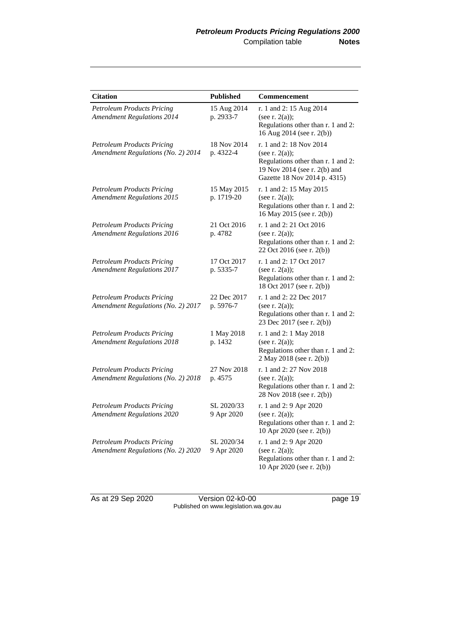| <b>Citation</b>                                                         | <b>Published</b>          | Commencement                                                                                                                                       |
|-------------------------------------------------------------------------|---------------------------|----------------------------------------------------------------------------------------------------------------------------------------------------|
| <b>Petroleum Products Pricing</b><br><b>Amendment Regulations 2014</b>  | 15 Aug 2014<br>p. 2933-7  | r. 1 and 2: 15 Aug 2014<br>(see r. $2(a)$ );<br>Regulations other than r. 1 and 2:<br>16 Aug 2014 (see r. 2(b))                                    |
| <b>Petroleum Products Pricing</b><br>Amendment Regulations (No. 2) 2014 | 18 Nov 2014<br>p. 4322-4  | r. 1 and 2: 18 Nov 2014<br>(see r. $2(a)$ );<br>Regulations other than r. 1 and 2:<br>19 Nov 2014 (see r. 2(b) and<br>Gazette 18 Nov 2014 p. 4315) |
| <b>Petroleum Products Pricing</b><br><b>Amendment Regulations 2015</b>  | 15 May 2015<br>p. 1719-20 | r. 1 and 2: 15 May 2015<br>(see r. $2(a)$ );<br>Regulations other than r. 1 and 2:<br>16 May 2015 (see r. 2(b))                                    |
| <b>Petroleum Products Pricing</b><br><b>Amendment Regulations 2016</b>  | 21 Oct 2016<br>p. 4782    | r. 1 and 2: 21 Oct 2016<br>(see r. $2(a)$ );<br>Regulations other than r. 1 and 2:<br>22 Oct 2016 (see r. 2(b))                                    |
| <b>Petroleum Products Pricing</b><br><b>Amendment Regulations 2017</b>  | 17 Oct 2017<br>p. 5335-7  | r. 1 and 2: 17 Oct 2017<br>(see r. $2(a)$ );<br>Regulations other than r. 1 and 2:<br>18 Oct 2017 (see r. 2(b))                                    |
| <b>Petroleum Products Pricing</b><br>Amendment Regulations (No. 2) 2017 | 22 Dec 2017<br>p. 5976-7  | r. 1 and 2: 22 Dec 2017<br>(see r. $2(a)$ );<br>Regulations other than r. 1 and 2:<br>23 Dec 2017 (see r. 2(b))                                    |
| <b>Petroleum Products Pricing</b><br><b>Amendment Regulations 2018</b>  | 1 May 2018<br>p. 1432     | r. 1 and 2: 1 May 2018<br>(see r. $2(a)$ );<br>Regulations other than r. 1 and 2:<br>2 May 2018 (see r. 2(b))                                      |
| <b>Petroleum Products Pricing</b><br>Amendment Regulations (No. 2) 2018 | 27 Nov 2018<br>p. 4575    | r. 1 and 2: 27 Nov 2018<br>(see r. $2(a)$ );<br>Regulations other than r. 1 and 2:<br>28 Nov 2018 (see r. 2(b))                                    |
| <b>Petroleum Products Pricing</b><br><b>Amendment Regulations 2020</b>  | SL 2020/33<br>9 Apr 2020  | r. 1 and 2: 9 Apr 2020<br>(see r. $2(a)$ );<br>Regulations other than r. 1 and 2:<br>10 Apr 2020 (see r. 2(b))                                     |
| <b>Petroleum Products Pricing</b><br>Amendment Regulations (No. 2) 2020 | SL 2020/34<br>9 Apr 2020  | r. 1 and 2: 9 Apr 2020<br>(see r. $2(a)$ );<br>Regulations other than r. 1 and 2:<br>10 Apr 2020 (see r. 2(b))                                     |

As at 29 Sep 2020 Version 02-k0-00 page 19 Published on www.legislation.wa.gov.au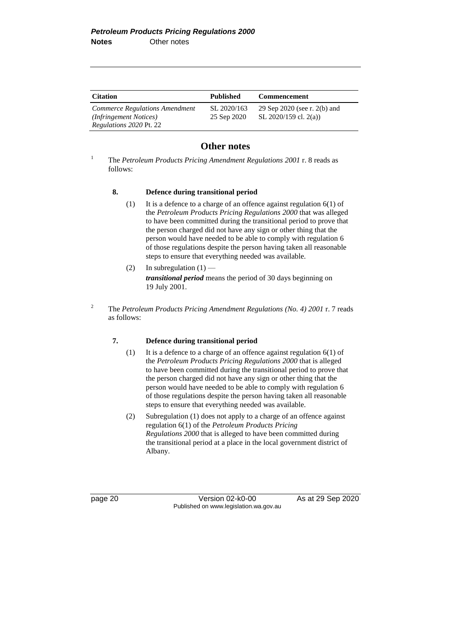| <b>Citation</b>                                                                     | <b>Published</b>           | <b>Commencement</b>                                   |
|-------------------------------------------------------------------------------------|----------------------------|-------------------------------------------------------|
| Commerce Regulations Amendment<br>(Infringement Notices)<br>Regulations 2020 Pt. 22 | SL 2020/163<br>25 Sep 2020 | 29 Sep 2020 (see r. 2(b) and<br>SL 2020/159 cl. 2(a)) |

### **Other notes**

<sup>1</sup> The *Petroleum Products Pricing Amendment Regulations 2001* r. 8 reads as follows:

#### **8. Defence during transitional period**

- (1) It is a defence to a charge of an offence against regulation  $6(1)$  of the *Petroleum Products Pricing Regulations 2000* that was alleged to have been committed during the transitional period to prove that the person charged did not have any sign or other thing that the person would have needed to be able to comply with regulation 6 of those regulations despite the person having taken all reasonable steps to ensure that everything needed was available.
- (2) In subregulation  $(1)$  *transitional period* means the period of 30 days beginning on 19 July 2001.
- <sup>2</sup> The *Petroleum Products Pricing Amendment Regulations (No. 4) 2001* r. 7 reads as follows:

#### **7. Defence during transitional period**

- (1) It is a defence to a charge of an offence against regulation 6(1) of the *Petroleum Products Pricing Regulations 2000* that is alleged to have been committed during the transitional period to prove that the person charged did not have any sign or other thing that the person would have needed to be able to comply with regulation 6 of those regulations despite the person having taken all reasonable steps to ensure that everything needed was available.
- (2) Subregulation (1) does not apply to a charge of an offence against regulation 6(1) of the *Petroleum Products Pricing Regulations 2000* that is alleged to have been committed during the transitional period at a place in the local government district of Albany.

page 20 Version 02-k0-00 As at 29 Sep 2020 Published on www.legislation.wa.gov.au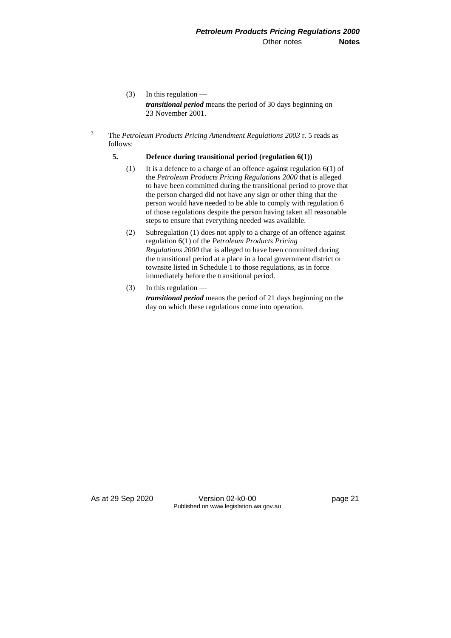- (3) In this regulation *transitional period* means the period of 30 days beginning on 23 November 2001.
- <sup>3</sup> The *Petroleum Products Pricing Amendment Regulations 2003* r. 5 reads as follows:

#### **5. Defence during transitional period (regulation 6(1))**

- (1) It is a defence to a charge of an offence against regulation 6(1) of the *Petroleum Products Pricing Regulations 2000* that is alleged to have been committed during the transitional period to prove that the person charged did not have any sign or other thing that the person would have needed to be able to comply with regulation 6 of those regulations despite the person having taken all reasonable steps to ensure that everything needed was available.
- (2) Subregulation (1) does not apply to a charge of an offence against regulation 6(1) of the *Petroleum Products Pricing Regulations 2000* that is alleged to have been committed during the transitional period at a place in a local government district or townsite listed in Schedule 1 to those regulations, as in force immediately before the transitional period.
- (3) In this regulation  $$ *transitional period* means the period of 21 days beginning on the day on which these regulations come into operation.

As at 29 Sep 2020 Version 02-k0-00 page 21 Published on www.legislation.wa.gov.au